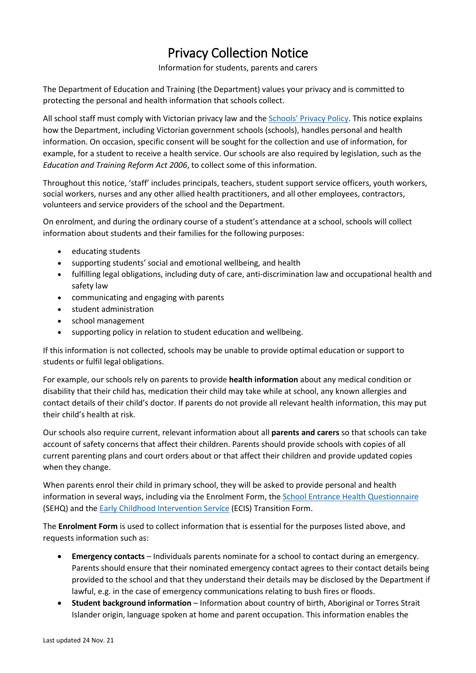## Privacy Collection Notice

## Information for students, parents and carers

The Department of Education and Training (the Department) values your privacy and is committed to protecting the personal and health information that schools collect.

All school staff must comply with Victorian privacy law and the [Schools' Privacy Policy](https://www.education.vic.gov.au/Pages/schoolsprivacypolicy.aspx). This notice explains how the Department, including Victorian government schools (schools), handles personal and health information. On occasion, specific consent will be sought for the collection and use of information, for example, for a student to receive a health service. Our schools are also required by legislation, such as the *Education and Training Reform Act 2006*, to collect some of this information.

Throughout this notice, 'staff' includes principals, teachers, student support service officers, youth workers, social workers, nurses and any other allied health practitioners, and all other employees, contractors, volunteers and service providers of the school and the Department.

On enrolment, and during the ordinary course of a student's attendance at a school, schools will collect information about students and their families for the following purposes:

- educating students
- supporting students' social and emotional wellbeing, and health
- fulfilling legal obligations, including duty of care, anti-discrimination law and occupational health and safety law
- communicating and engaging with parents
- student administration
- school management
- supporting policy in relation to student education and wellbeing.

If this information is not collected, schools may be unable to provide optimal education or support to students or fulfil legal obligations.

For example, our schools rely on parents to provide **health information** about any medical condition or disability that their child has, medication their child may take while at school, any known allergies and contact details of their child's doctor. If parents do not provide all relevant health information, this may put their child's health at risk.

Our schools also require current, relevant information about all **parents and carers** so that schools can take account of safety concerns that affect their children. Parents should provide schools with copies of all current parenting plans and court orders about or that affect their children and provide updated copies when they change.

When parents enrol their child in primary school, they will be asked to provide personal and health information in several ways, including via the Enrolment Form, th[e School Entrance Health Questionnaire](https://www.education.vic.gov.au/about/research/Pages/reportdatahealth.aspx) (SEHQ) and th[e Early Childhood Intervention Service](https://www.education.vic.gov.au/childhood/professionals/needs/Pages/ecisabout.aspx) (ECIS) Transition Form.

The **Enrolment Form** is used to collect information that is essential for the purposes listed above, and requests information such as:

- **Emergency contacts** Individuals parents nominate for a school to contact during an emergency. Parents should ensure that their nominated emergency contact agrees to their contact details being provided to the school and that they understand their details may be disclosed by the Department if lawful, e.g. in the case of emergency communications relating to bush fires or floods.
- **Student background information** Information about country of birth, Aboriginal or Torres Strait Islander origin, language spoken at home and parent occupation. This information enables the